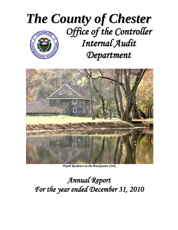



*Wyeth Residence on the Brandywine Creek* 

# *Annual Report For the year ended December 31, 2010*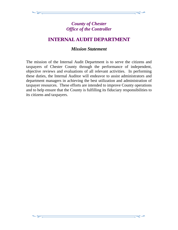# *INTERNAL AUDIT DEPARTMENT*

### *Mission Statement*

The mission of the Internal Audit Department is to serve the citizens and taxpayers of Chester County through the performance of independent, objective reviews and evaluations of all relevant activities. In performing these duties, the Internal Auditor will endeavor to assist administrators and department managers in achieving the best utilization and administration of taxpayer resources. These efforts are intended to improve County operations and to help ensure that the County is fulfilling its fiduciary responsibilities to its citizens and taxpayers.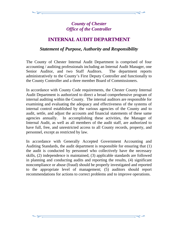# *INTERNAL AUDIT DEPARTMENT*

### *Statement of Purpose, Authority and Responsibility*

The County of Chester Internal Audit Department is comprised of four accounting / auditing professionals including an Internal Audit Manager, one Senior Auditor, and two Staff Auditors. The department reports administratively to the County's First Deputy Controller and functionally to the County Controller and a three member Board of Commissioners.

In accordance with County Code requirements, the Chester County Internal Audit Department is authorized to direct a broad comprehensive program of internal auditing within the County. The internal auditors are responsible for examining and evaluating the adequacy and effectiveness of the systems of internal control established by the various agencies of the County and to audit, settle, and adjust the accounts and financial statements of these same agencies annually. In accomplishing these activities, the Manager of Internal Audit, as well as all members of the audit staff, are authorized to have full, free, and unrestricted access to all County records, property, and personnel, except as restricted by law.

In accordance with Generally Accepted Government Accounting and Auditing Standards, the audit department is responsible for ensuring that (1) the audit is conducted by personnel who collectively have the necessary skills, (2) independence is maintained, (3) applicable standards are followed in planning and conducting audits and reporting the results, (4) significant noncompliance or abuse (fraud) should be properly investigated and reported to the appropriate level of management; (5) auditors should report recommendations for actions to correct problems and to improve operations.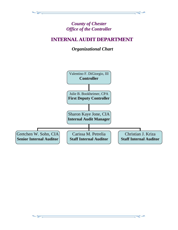# *INTERNAL AUDIT DEPARTMENT*

 *Organizational Chart* 

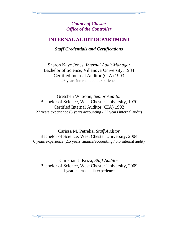### *INTERNAL AUDIT DEPARTMENT*

*Staff Credentials and Certifications* 

Sharon Kaye Jones, *Internal Audit Manager*  Bachelor of Science, Villanova University, 1984 Certified Internal Auditor (CIA) 1993 26 years internal audit experience

Gretchen W. Sohn, *Senior Auditor*  Bachelor of Science, West Chester University, 1970 Certified Internal Auditor (CIA) 1992 27 years experience (5 years accounting / 22 years internal audit)

Carissa M. Petrelia, *Staff Auditor*  Bachelor of Science, West Chester University, 2004 6 years experience (2.5 years finance/accounting / 3.5 internal audit)

Christian J. Kriza, *Staff Auditor*  Bachelor of Science, West Chester University, 2009 1 year internal audit experience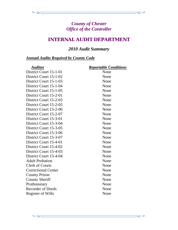# *INTERNAL AUDIT DEPARTMENT*

# *2010 Audit Summary*

### *Annual Audits Required by County Code*

| <b>Auditee</b>             | <b>Reportable Conditions</b> |
|----------------------------|------------------------------|
| District Court 15-1-01     | None                         |
| District Court 15-1-02     | None                         |
| District Court 15-1-03     | None                         |
| District Court 15-1-04     | None                         |
| District Court 15-1-05     | None                         |
| District Court 15-2-01     | None                         |
| District Court 15-2-03     | None                         |
| District Court 15-2-05     | None                         |
| District Court 15-2-06     | None                         |
| District Court 15-2-07     | None                         |
| District Court 15-3-01     | None                         |
| District Court 15-3-04     | None                         |
| District Court 15-3-05     | None                         |
| District Court 15-3-06     | None                         |
| District Court 15-3-07     | None                         |
| District Court 15-4-01     | None                         |
| District Court 15-4-02     | None                         |
| District Court 15-4-03     | None                         |
| District Court 15-4-04     | None                         |
| <b>Adult Probation</b>     | None                         |
| <b>Clerk of Courts</b>     | None                         |
| <b>Correctional Center</b> | None                         |
| <b>County Prison</b>       | None                         |
| <b>County Sheriff</b>      | None                         |
| Prothonotary               | None                         |
| <b>Recorder of Deeds</b>   | None                         |
| <b>Register of Wills</b>   | None                         |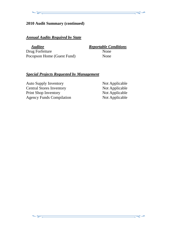#### **2010 Audit Summary (continued)**

### *Annual Audits Required by State*

*Auditee**Reportable Conditions* Drug Forfeiture None Pocopson Home (Guest Fund) None

#### *Special Projects Requested by Management*

Auto Supply Inventory Not Applicable Central Stores Inventory Not Applicable Print Shop Inventory Not Applicable Agency Funds Compilation Not Applicable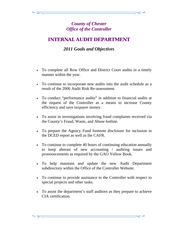# *INTERNAL AUDIT DEPARTMENT*

# *2011 Goals and Objectives*

- To complete all Row Office and District Court audits in a timely manner within the year.
- To continue to incorporate new audits into the audit schedule as a result of the 2006 Audit Risk Re-assessment.
- To conduct "performance audits" in addition to financial audits at the request of the Controller as a means to increase County efficiency and save taxpayer money.
- To assist in investigations involving fraud complaints received via the County's Fraud, Waste, and Abuse hotline.
- To prepare the Agency Fund footnote disclosure for inclusion in the DCED report as well as the CAFR.
- To continue to complete 40 hours of continuing education annually to keep abreast of new accounting / auditing issues and pronouncements as required by the GAO Yellow Book.
- To help maintain and update the new Audit Department subdirectory within the Office of the Controller Website.
- To continue to provide assistance to the Controller with respect to special projects and other tasks.
- To assist the department's staff auditors as they prepare to achieve CIA certification.